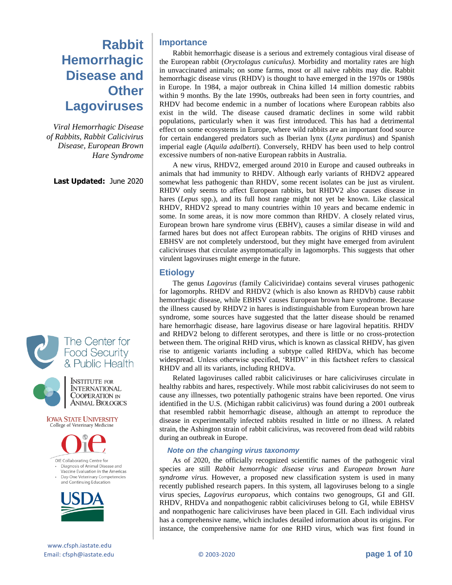# **Rabbit Hemorrhagic Disease and Other Lagoviruses**

*Viral Hemorrhagic Disease of Rabbits, Rabbit Calicivirus Disease, European Brown Hare Syndrome*

**Last Updated:** June 2020





**INSTITUTE FOR INTERNATIONAL** COOPERATION IN **ANIMAL BIOLOGICS** 

**IOWA STATE UNIVERSITY** College of Veterinary Medicine





- Diagnosis of Animal Disease and Vaccine Evaluation in the Americas
- Day-One Veterinary Competencies and Continuing Education



Rabbit hemorrhagic disease is a serious and extremely contagious viral disease of the European rabbit (*Oryctolagus cuniculus)*. Morbidity and mortality rates are high in unvaccinated animals; on some farms, most or all naive rabbits may die. Rabbit hemorrhagic disease virus (RHDV) is thought to have emerged in the 1970s or 1980s in Europe. In 1984, a major outbreak in China killed 14 million domestic rabbits within 9 months. By the late 1990s, outbreaks had been seen in forty countries, and RHDV had become endemic in a number of locations where European rabbits also exist in the wild. The disease caused dramatic declines in some wild rabbit populations, particularly when it was first introduced. This has had a detrimental effect on some ecosystems in Europe, where wild rabbits are an important food source for certain endangered predators such as Iberian lynx (*Lynx pardinus*) and Spanish imperial eagle (*Aquila adalberti*). Conversely, RHDV has been used to help control excessive numbers of non-native European rabbits in Australia.

A new virus, RHDV2, emerged around 2010 in Europe and caused outbreaks in animals that had immunity to RHDV. Although early variants of RHDV2 appeared somewhat less pathogenic than RHDV, some recent isolates can be just as virulent. RHDV only seems to affect European rabbits, but RHDV2 also causes disease in hares (*Lepus* spp.), and its full host range might not yet be known. Like classical RHDV, RHDV2 spread to many countries within 10 years and became endemic in some. In some areas, it is now more common than RHDV. A closely related virus, European brown hare syndrome virus (EBHV), causes a similar disease in wild and farmed hares but does not affect European rabbits. The origins of RHD viruses and EBHSV are not completely understood, but they might have emerged from avirulent caliciviruses that circulate asymptomatically in lagomorphs. This suggests that other virulent lagoviruses might emerge in the future.

# **Etiology**

The genus *Lagovirus* (family Caliciviridae) contains several viruses pathogenic for lagomorphs. RHDV and RHDV2 (which is also known as RHDVb) cause rabbit hemorrhagic disease, while EBHSV causes European brown hare syndrome. Because the illness caused by RHDV2 in hares is indistinguishable from European brown hare syndrome, some sources have suggested that the latter disease should be renamed hare hemorrhagic disease, hare lagovirus disease or hare lagoviral hepatitis. RHDV and RHDV2 belong to different serotypes, and there is little or no cross-protection between them. The original RHD virus, which is known as classical RHDV, has given rise to antigenic variants including a subtype called RHDVa, which has become widespread. Unless otherwise specified, 'RHDV' in this factsheet refers to classical RHDV and all its variants, including RHDVa.

Related lagoviruses called rabbit caliciviruses or hare caliciviruses circulate in healthy rabbits and hares, respectively. While most rabbit caliciviruses do not seem to cause any illnesses, two potentially pathogenic strains have been reported. One virus identified in the U.S. (Michigan rabbit calicivirus) was found during a 2001 outbreak that resembled rabbit hemorrhagic disease, although an attempt to reproduce the disease in experimentally infected rabbits resulted in little or no illness. A related strain, the Ashington strain of rabbit calicivirus, was recovered from dead wild rabbits during an outbreak in Europe.

### *Note on the changing virus taxonomy*

As of 2020, the officially recognized scientific names of the pathogenic viral species are still *Rabbit hemorrhagic disease virus* and *European brown hare syndrome virus.* However, a proposed new classification system is used in many recently published research papers. In this system, all lagoviruses belong to a single virus species, *Lagovirus europaeus*, which contains two genogroups, GI and GII. RHDV, RHDVa and nonpathogenic rabbit caliciviruses belong to GI, while EBHSV and nonpathogenic hare caliciviruses have been placed in GII. Each individual virus has a comprehensive name, which includes detailed information about its origins. For instance, the comprehensive name for one RHD virus, which was first found in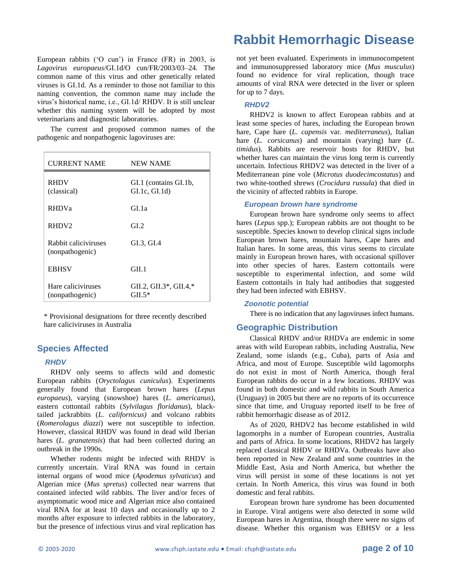European rabbits ('O cun') in France (FR) in 2003, is *Lagovirus europaeus*/GI.1d/O cun/FR/2003/03–24. The common name of this virus and other genetically related viruses is GI.1d. As a reminder to those not familiar to this naming convention, the common name may include the virus's historical name, i.e., GI.1d/ RHDV. It is still unclear whether this naming system will be adopted by most veterinarians and diagnostic laboratories.

The current and proposed common names of the pathogenic and nonpathogenic lagoviruses are:

| <b>CURRENT NAME</b>                     | <b>NEW NAME</b>                      |
|-----------------------------------------|--------------------------------------|
| <b>RHDV</b><br>(classical)              | GI.1 (contains GI.1b,<br>GL1c, GL1d) |
| <b>RHDVa</b>                            | GL 1a                                |
| RHDV2                                   | GL2                                  |
| Rabbit caliciviruses<br>(nonpathogenic) | GI.3, GI.4                           |
| <b>EBHSV</b>                            | GIL 1                                |
| Hare caliciviruses<br>(nonpathogenic)   | GIL2, GIL3*, GIL4,*<br>$GHL5*$       |

\* Provisional designations for three recently described hare caliciviruses in Australia

# **Species Affected**

#### *RHDV*

RHDV only seems to affects wild and domestic European rabbits (*Oryctolagus cuniculus*). Experiments generally found that European brown hares (*Lepus europaeus*), varying (snowshoe) hares (*L. americanus*), eastern cottontail rabbits (*Sylvilagus floridanus*), blacktailed jackrabbits (*L. californicus)* and volcano rabbits (*Romerolagus diazzi*) were not susceptible to infection. However, classical RHDV was found in dead wild Iberian hares (*L. granatensis*) that had been collected during an outbreak in the 1990s.

Whether rodents might be infected with RHDV is currently uncertain. Viral RNA was found in certain internal organs of wood mice (*Apodemus sylvaticus*) and Algerian mice (*Mus spretus*) collected near warrens that contained infected wild rabbits. The liver and/or feces of asymptomatic wood mice and Algerian mice also contained viral RNA for at least 10 days and occasionally up to 2 months after exposure to infected rabbits in the laboratory, but the presence of infectious virus and viral replication has

# **Rabbit Hemorrhagic Disease**

not yet been evaluated. Experiments in immunocompetent and immunosuppressed laboratory mice (*Mus musculus*) found no evidence for viral replication, though trace amounts of viral RNA were detected in the liver or spleen for up to 7 days.

#### *RHDV2*

RHDV2 is known to affect European rabbits and at least some species of hares, including the European brown hare, Cape hare (*L. capensis* var. *mediterraneus*), Italian hare (*L. corsicanus*) and mountain (varying) hare (*L. timidus*). Rabbits are reservoir hosts for RHDV, but whether hares can maintain the virus long term is currently uncertain. Infectious RHDV2 was detected in the liver of a Mediterranean pine vole (*Microtus duodecimcostatus*) and two white-toothed shrews (*Crocidura russula*) that died in the vicinity of affected rabbits in Europe.

#### *European brown hare syndrome*

European brown hare syndrome only seems to affect hares (*Lepus* spp.); European rabbits are not thought to be susceptible. Species known to develop clinical signs include European brown hares, mountain hares, Cape hares and Italian hares. In some areas, this virus seems to circulate mainly in European brown hares, with occasional spillover into other species of hares. Eastern cottontails were susceptible to experimental infection, and some wild Eastern cottontails in Italy had antibodies that suggested they had been infected with EBHSV.

### *Zoonotic potential*

There is no indication that any lagoviruses infect humans.

#### **Geographic Distribution**

Classical RHDV and/or RHDVa are endemic in some areas with wild European rabbits, including Australia, New Zealand, some islands (e.g., Cuba), parts of Asia and Africa, and most of Europe. Susceptible wild lagomorphs do not exist in most of North America, though feral European rabbits do occur in a few locations. RHDV was found in both domestic and wild rabbits in South America (Uruguay) in 2005 but there are no reports of its occurrence since that time, and Uruguay reported itself to be free of rabbit hemorrhagic disease as of 2012.

As of 2020, RHDV2 has become established in wild lagomorphs in a number of European countries, Australia and parts of Africa. In some locations, RHDV2 has largely replaced classical RHDV or RHDVa. Outbreaks have also been reported in New Zealand and some countries in the Middle East, Asia and North America, but whether the virus will persist in some of these locations is not yet certain. In North America, this virus was found in both domestic and feral rabbits.

European brown hare syndrome has been documented in Europe. Viral antigens were also detected in some wild European hares in Argentina, though there were no signs of disease. Whether this organism was EBHSV or a less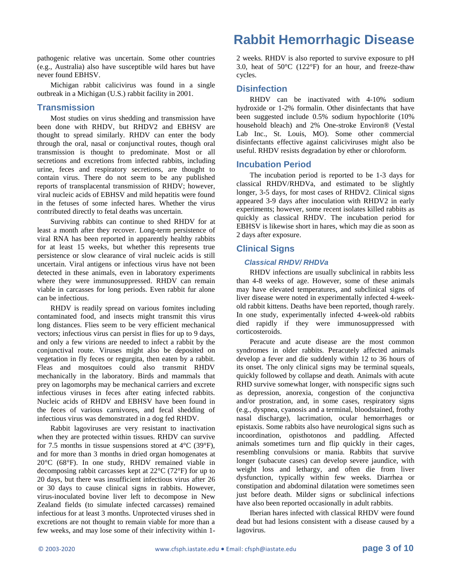pathogenic relative was uncertain. Some other countries (e.g., Australia) also have susceptible wild hares but have never found EBHSV.

Michigan rabbit calicivirus was found in a single outbreak in a Michigan (U.S.) rabbit facility in 2001.

# **Transmission**

Most studies on virus shedding and transmission have been done with RHDV, but RHDV2 and EBHSV are thought to spread similarly. RHDV can enter the body through the oral, nasal or conjunctival routes, though oral transmission is thought to predominate. Most or all secretions and excretions from infected rabbits, including urine, feces and respiratory secretions, are thought to contain virus. There do not seem to be any published reports of transplacental transmission of RHDV; however, viral nucleic acids of EBHSV and mild hepatitis were found in the fetuses of some infected hares. Whether the virus contributed directly to fetal deaths was uncertain.

Surviving rabbits can continue to shed RHDV for at least a month after they recover. Long-term persistence of viral RNA has been reported in apparently healthy rabbits for at least 15 weeks, but whether this represents true persistence or slow clearance of viral nucleic acids is still uncertain. Viral antigens or infectious virus have not been detected in these animals, even in laboratory experiments where they were immunosuppressed. RHDV can remain viable in carcasses for long periods. Even rabbit fur alone can be infectious.

RHDV is readily spread on various fomites including contaminated food, and insects might transmit this virus long distances. Flies seem to be very efficient mechanical vectors; infectious virus can persist in flies for up to 9 days, and only a few virions are needed to infect a rabbit by the conjunctival route. Viruses might also be deposited on vegetation in fly feces or regurgita, then eaten by a rabbit. Fleas and mosquitoes could also transmit RHDV mechanically in the laboratory. Birds and mammals that prey on lagomorphs may be mechanical carriers and excrete infectious viruses in feces after eating infected rabbits. Nucleic acids of RHDV and EBHSV have been found in the feces of various carnivores, and fecal shedding of infectious virus was demonstrated in a dog fed RHDV.

Rabbit lagoviruses are very resistant to inactivation when they are protected within tissues. RHDV can survive for 7.5 months in tissue suspensions stored at  $4^{\circ}$ C (39 $^{\circ}$ F), and for more than 3 months in dried organ homogenates at 20°C (68°F). In one study, RHDV remained viable in decomposing rabbit carcasses kept at 22°C (72°F) for up to 20 days, but there was insufficient infectious virus after 26 or 30 days to cause clinical signs in rabbits. However, virus-inoculated bovine liver left to decompose in New Zealand fields (to simulate infected carcasses) remained infectious for at least 3 months. Unprotected viruses shed in excretions are not thought to remain viable for more than a few weeks, and may lose some of their infectivity within 1-

# **Rabbit Hemorrhagic Disease**

2 weeks. RHDV is also reported to survive exposure to pH 3.0, heat of 50°C (122°F) for an hour, and freeze-thaw cycles.

# **Disinfection**

RHDV can be inactivated with 4-10% sodium hydroxide or 1-2% formalin. Other disinfectants that have been suggested include 0.5% sodium hypochlorite (10% household bleach) and 2% One-stroke Environ® (Vestal Lab Inc., St. Louis, MO). Some other commercial disinfectants effective against caliciviruses might also be useful. RHDV resists degradation by ether or chloroform.

# **Incubation Period**

The incubation period is reported to be 1-3 days for classical RHDV/RHDVa, and estimated to be slightly longer, 3-5 days, for most cases of RHDV2. Clinical signs appeared 3-9 days after inoculation with RHDV2 in early experiments; however, some recent isolates killed rabbits as quickly as classical RHDV. The incubation period for EBHSV is likewise short in hares, which may die as soon as 2 days after exposure.

# **Clinical Signs**

### *Classical RHDV/ RHDVa*

RHDV infections are usually subclinical in rabbits less than 4-8 weeks of age. However, some of these animals may have elevated temperatures, and subclinical signs of liver disease were noted in experimentally infected 4-weekold rabbit kittens. Deaths have been reported, though rarely. In one study, experimentally infected 4-week-old rabbits died rapidly if they were immunosuppressed with corticosteroids.

Peracute and acute disease are the most common syndromes in older rabbits. Peracutely affected animals develop a fever and die suddenly within 12 to 36 hours of its onset. The only clinical signs may be terminal squeals, quickly followed by collapse and death. Animals with acute RHD survive somewhat longer, with nonspecific signs such as depression, anorexia, congestion of the conjunctiva and/or prostration, and, in some cases, respiratory signs (e.g., dyspnea, cyanosis and a terminal, bloodstained, frothy nasal discharge), lacrimation, ocular hemorrhages or epistaxis. Some rabbits also have neurological signs such as incoordination, opisthotonos and paddling. Affected animals sometimes turn and flip quickly in their cages, resembling convulsions or mania. Rabbits that survive longer (subacute cases) can develop severe jaundice, with weight loss and lethargy, and often die from liver dysfunction, typically within few weeks. Diarrhea or constipation and abdominal dilatation were sometimes seen just before death. Milder signs or subclinical infections have also been reported occasionally in adult rabbits.

Iberian hares infected with classical RHDV were found dead but had lesions consistent with a disease caused by a lagovirus.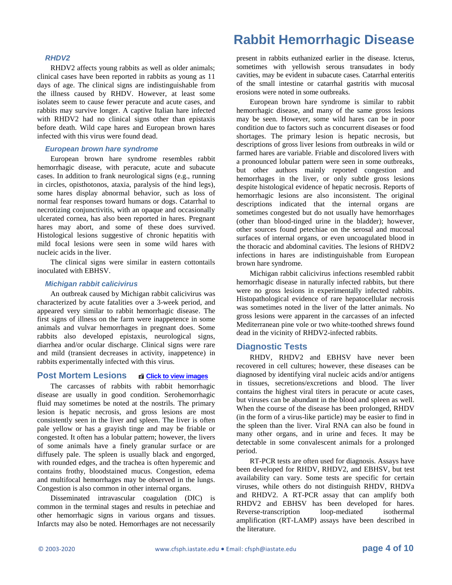#### *RHDV2*

RHDV2 affects young rabbits as well as older animals; clinical cases have been reported in rabbits as young as 11 days of age. The clinical signs are indistinguishable from the illness caused by RHDV. However, at least some isolates seem to cause fewer peracute and acute cases, and rabbits may survive longer. A captive Italian hare infected with RHDV2 had no clinical signs other than epistaxis before death. Wild cape hares and European brown hares infected with this virus were found dead.

#### *European brown hare syndrome*

European brown hare syndrome resembles rabbit hemorrhagic disease, with peracute, acute and subacute cases. In addition to frank neurological signs (e.g., running in circles, opisthotonos, ataxia, paralysis of the hind legs), some hares display abnormal behavior, such as loss of normal fear responses toward humans or dogs. Catarrhal to necrotizing conjunctivitis, with an opaque and occasionally ulcerated cornea, has also been reported in hares. Pregnant hares may abort, and some of these does survived. Histological lesions suggestive of chronic hepatitis with mild focal lesions were seen in some wild hares with nucleic acids in the liver.

The clinical signs were similar in eastern cottontails inoculated with EBHSV.

#### *Michigan rabbit calicivirus*

An outbreak caused by Michigan rabbit calicivirus was characterized by acute fatalities over a 3-week period, and appeared very similar to rabbit hemorrhagic disease. The first signs of illness on the farm were inappetence in some animals and vulvar hemorrhages in pregnant does. Some rabbits also developed epistaxis, neurological signs, diarrhea and/or ocular discharge. Clinical signs were rare and mild (transient decreases in activity, inappetence) in rabbits experimentally infected with this virus.

## **Post Mortem Lesions <b>[Click to view images](http://www.cfsph.iastate.edu/DiseaseInfo/ImageDB/imagesRHD.htm)**

The carcasses of rabbits with rabbit hemorrhagic disease are usually in good condition. Serohemorrhagic fluid may sometimes be noted at the nostrils. The primary lesion is hepatic necrosis, and gross lesions are most consistently seen in the liver and spleen. The liver is often pale yellow or has a grayish tinge and may be friable or congested. It often has a lobular pattern; however, the livers of some animals have a finely granular surface or are diffusely pale. The spleen is usually black and engorged, with rounded edges, and the trachea is often hyperemic and contains frothy, bloodstained mucus. Congestion, edema and multifocal hemorrhages may be observed in the lungs. Congestion is also common in other internal organs.

Disseminated intravascular coagulation (DIC) is common in the terminal stages and results in petechiae and other hemorrhagic signs in various organs and tissues. Infarcts may also be noted. Hemorrhages are not necessarily

# **Rabbit Hemorrhagic Disease**

present in rabbits euthanized earlier in the disease. Icterus, sometimes with yellowish serous transudates in body cavities, may be evident in subacute cases. Catarrhal enteritis of the small intestine or catarrhal gastritis with mucosal erosions were noted in some outbreaks.

European brown hare syndrome is similar to rabbit hemorrhagic disease, and many of the same gross lesions may be seen. However, some wild hares can be in poor condition due to factors such as concurrent diseases or food shortages. The primary lesion is hepatic necrosis, but descriptions of gross liver lesions from outbreaks in wild or farmed hares are variable. Friable and discolored livers with a pronounced lobular pattern were seen in some outbreaks, but other authors mainly reported congestion and hemorrhages in the liver, or only subtle gross lesions despite histological evidence of hepatic necrosis. Reports of hemorrhagic lesions are also inconsistent. The original descriptions indicated that the internal organs are sometimes congested but do not usually have hemorrhages (other than blood-tinged urine in the bladder); however, other sources found petechiae on the serosal and mucosal surfaces of internal organs, or even uncoagulated blood in the thoracic and abdominal cavities. The lesions of RHDV2 infections in hares are indistinguishable from European brown hare syndrome.

Michigan rabbit calicivirus infections resembled rabbit hemorrhagic disease in naturally infected rabbits, but there were no gross lesions in experimentally infected rabbits. Histopathological evidence of rare hepatocellular necrosis was sometimes noted in the liver of the latter animals. No gross lesions were apparent in the carcasses of an infected Mediterranean pine vole or two white-toothed shrews found dead in the vicinity of RHDV2-infected rabbits.

#### **Diagnostic Tests**

RHDV, RHDV2 and EBHSV have never been recovered in cell cultures; however, these diseases can be diagnosed by identifying viral nucleic acids and/or antigens in tissues, secretions/excretions and blood. The liver contains the highest viral titers in peracute or acute cases, but viruses can be abundant in the blood and spleen as well. When the course of the disease has been prolonged, RHDV (in the form of a virus-like particle) may be easier to find in the spleen than the liver. Viral RNA can also be found in many other organs, and in urine and feces. It may be detectable in some convalescent animals for a prolonged period.

RT-PCR tests are often used for diagnosis. Assays have been developed for RHDV, RHDV2, and EBHSV, but test availability can vary. Some tests are specific for certain viruses, while others do not distinguish RHDV, RHDVa and RHDV2. A RT-PCR assay that can amplify both RHDV2 and EBHSV has been developed for hares. Reverse-transcription loop-mediated isothermal amplification (RT-LAMP) assays have been described in the literature.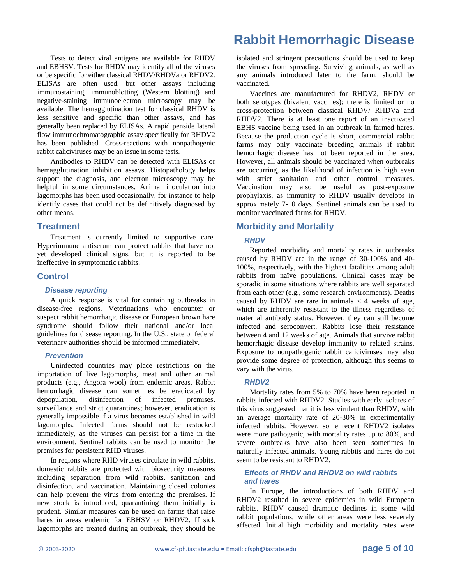Tests to detect viral antigens are available for RHDV and EBHSV. Tests for RHDV may identify all of the viruses or be specific for either classical RHDV/RHDVa or RHDV2. ELISAs are often used, but other assays including immunostaining, immunoblotting (Western blotting) and negative-staining immunoelectron microscopy may be available. The hemagglutination test for classical RHDV is less sensitive and specific than other assays, and has generally been replaced by ELISAs. A rapid penside lateral flow immunochromatographic assay specifically for RHDV2 has been published. Cross-reactions with nonpathogenic rabbit caliciviruses may be an issue in some tests.

Antibodies to RHDV can be detected with ELISAs or hemagglutination inhibition assays. Histopathology helps support the diagnosis, and electron microscopy may be helpful in some circumstances. Animal inoculation into lagomorphs has been used occasionally, for instance to help identify cases that could not be definitively diagnosed by other means.

### **Treatment**

Treatment is currently limited to supportive care. Hyperimmune antiserum can protect rabbits that have not yet developed clinical signs, but it is reported to be ineffective in symptomatic rabbits.

### **Control**

#### *Disease reporting*

A quick response is vital for containing outbreaks in disease-free regions. Veterinarians who encounter or suspect rabbit hemorrhagic disease or European brown hare syndrome should follow their national and/or local guidelines for disease reporting. In the U.S., state or federal veterinary authorities should be informed immediately.

#### *Prevention*

Uninfected countries may place restrictions on the importation of live lagomorphs, meat and other animal products (e.g., Angora wool) from endemic areas. Rabbit hemorrhagic disease can sometimes be eradicated by depopulation, disinfection of infected premises, surveillance and strict quarantines; however, eradication is generally impossible if a virus becomes established in wild lagomorphs. Infected farms should not be restocked immediately, as the viruses can persist for a time in the environment. Sentinel rabbits can be used to monitor the premises for persistent RHD viruses.

In regions where RHD viruses circulate in wild rabbits, domestic rabbits are protected with biosecurity measures including separation from wild rabbits, sanitation and disinfection, and vaccination. Maintaining closed colonies can help prevent the virus from entering the premises. If new stock is introduced, quarantining them initially is prudent. Similar measures can be used on farms that raise hares in areas endemic for EBHSV or RHDV2. If sick lagomorphs are treated during an outbreak, they should be

# **Rabbit Hemorrhagic Disease**

isolated and stringent precautions should be used to keep the viruses from spreading. Surviving animals, as well as any animals introduced later to the farm, should be vaccinated.

Vaccines are manufactured for RHDV2, RHDV or both serotypes (bivalent vaccines); there is limited or no cross-protection between classical RHDV/ RHDVa and RHDV2. There is at least one report of an inactivated EBHS vaccine being used in an outbreak in farmed hares. Because the production cycle is short, commercial rabbit farms may only vaccinate breeding animals if rabbit hemorrhagic disease has not been reported in the area. However, all animals should be vaccinated when outbreaks are occurring, as the likelihood of infection is high even with strict sanitation and other control measures. Vaccination may also be useful as post-exposure prophylaxis, as immunity to RHDV usually develops in approximately 7-10 days. Sentinel animals can be used to monitor vaccinated farms for RHDV.

### **Morbidity and Mortality**

#### *RHDV*

Reported morbidity and mortality rates in outbreaks caused by RHDV are in the range of 30-100% and 40- 100%, respectively, with the highest fatalities among adult rabbits from naïve populations. Clinical cases may be sporadic in some situations where rabbits are well separated from each other (e.g., some research environments). Deaths caused by RHDV are rare in animals  $\lt$  4 weeks of age, which are inherently resistant to the illness regardless of maternal antibody status. However, they can still become infected and seroconvert. Rabbits lose their resistance between 4 and 12 weeks of age. Animals that survive rabbit hemorrhagic disease develop immunity to related strains. Exposure to nonpathogenic rabbit caliciviruses may also provide some degree of protection, although this seems to vary with the virus.

#### *RHDV2*

Mortality rates from 5% to 70% have been reported in rabbits infected with RHDV2. Studies with early isolates of this virus suggested that it is less virulent than RHDV, with an average mortality rate of 20-30% in experimentally infected rabbits. However, some recent RHDV2 isolates were more pathogenic, with mortality rates up to 80%, and severe outbreaks have also been seen sometimes in naturally infected animals. Young rabbits and hares do not seem to be resistant to RHDV2.

### *Effects of RHDV and RHDV2 on wild rabbits and hares*

In Europe, the introductions of both RHDV and RHDV2 resulted in severe epidemics in wild European rabbits. RHDV caused dramatic declines in some wild rabbit populations, while other areas were less severely affected. Initial high morbidity and mortality rates were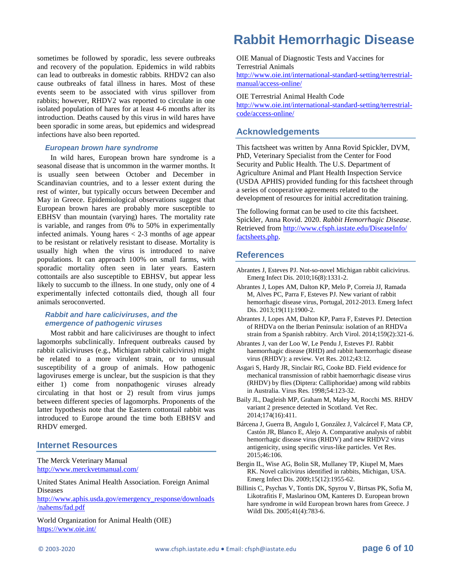sometimes be followed by sporadic, less severe outbreaks and recovery of the population. Epidemics in wild rabbits can lead to outbreaks in domestic rabbits. RHDV2 can also cause outbreaks of fatal illness in hares. Most of these events seem to be associated with virus spillover from rabbits; however, RHDV2 was reported to circulate in one isolated population of hares for at least 4-6 months after its introduction. Deaths caused by this virus in wild hares have been sporadic in some areas, but epidemics and widespread infections have also been reported.

#### *European brown hare syndrome*

In wild hares, European brown hare syndrome is a seasonal disease that is uncommon in the warmer months. It is usually seen between October and December in Scandinavian countries, and to a lesser extent during the rest of winter, but typically occurs between December and May in Greece. Epidemiological observations suggest that European brown hares are probably more susceptible to EBHSV than mountain (varying) hares. The mortality rate is variable, and ranges from 0% to 50% in experimentally infected animals. Young hares < 2-3 months of age appear to be resistant or relatively resistant to disease. Mortality is usually high when the virus is introduced to naive populations. It can approach 100% on small farms, with sporadic mortality often seen in later years. Eastern cottontails are also susceptible to EBHSV, but appear less likely to succumb to the illness. In one study, only one of 4 experimentally infected cottontails died, though all four animals seroconverted.

### *Rabbit and hare caliciviruses, and the emergence of pathogenic viruses*

Most rabbit and hare caliciviruses are thought to infect lagomorphs subclinically. Infrequent outbreaks caused by rabbit caliciviruses (e.g., Michigan rabbit calicivirus) might be related to a more virulent strain, or to unusual susceptibility of a group of animals. How pathogenic lagoviruses emerge is unclear, but the suspicion is that they either 1) come from nonpathogenic viruses already circulating in that host or 2) result from virus jumps between different species of lagomorphs. Proponents of the latter hypothesis note that the Eastern cottontail rabbit was introduced to Europe around the time both EBHSV and RHDV emerged.

#### **Internet Resources**

The Merck Veterinary Manual <http://www.merckvetmanual.com/>

United States Animal Health Association. Foreign Animal Diseases

[http://www.aphis.usda.gov/emergency\\_response/downloads](http://www.aphis.usda.gov/emergency_response/downloads/nahems/fad.pdf) [/nahems/fad.pdf](http://www.aphis.usda.gov/emergency_response/downloads/nahems/fad.pdf)

World Organization for Animal Health (OIE) <https://www.oie.int/>

# **Rabbit Hemorrhagic Disease**

OIE Manual of Diagnostic Tests and Vaccines for Terrestrial Animals [http://www.oie.int/international-standard-setting/terrestrial](http://www.oie.int/international-standard-setting/terrestrial-manual/access-online/)[manual/access-online/](http://www.oie.int/international-standard-setting/terrestrial-manual/access-online/)

#### OIE Terrestrial Animal Health Code

[http://www.oie.int/international-standard-setting/terrestrial](http://www.oie.int/international-standard-setting/terrestrial-code/access-online/)[code/access-online/](http://www.oie.int/international-standard-setting/terrestrial-code/access-online/)

### **Acknowledgements**

This factsheet was written by Anna Rovid Spickler, DVM, PhD, Veterinary Specialist from the Center for Food Security and Public Health. The U.S. Department of Agriculture Animal and Plant Health Inspection Service (USDA APHIS) provided funding for this factsheet through a series of cooperative agreements related to the development of resources for initial accreditation training.

The following format can be used to cite this factsheet. Spickler, Anna Rovid. 2020. *Rabbit Hemorrhagic Disease*. Retrieved fro[m http://www.cfsph.iastate.edu/DiseaseInfo/](http://www.cfsph.iastate.edu/DiseaseInfo/factsheets.php) [factsheets.php.](http://www.cfsph.iastate.edu/DiseaseInfo/factsheets.php) 

### **References**

- Abrantes J, Esteves PJ. Not-so-novel Michigan rabbit calicivirus. Emerg Infect Dis. 2010;16(8):1331-2.
- Abrantes J, Lopes AM, Dalton KP, Melo P, Correia JJ, Ramada M, Alves PC, Parra F, Esteves PJ. New variant of rabbit hemorrhagic disease virus, Portugal, 2012-2013. Emerg Infect Dis. 2013;19(11):1900-2.
- Abrantes J, Lopes AM, Dalton KP, Parra F, Esteves PJ. Detection of RHDVa on the Iberian Peninsula: isolation of an RHDVa strain from a Spanish rabbitry. Arch Virol. 2014;159(2):321-6.
- Abrantes J, van der Loo W, Le Pendu J, Esteves PJ. Rabbit haemorrhagic disease (RHD) and rabbit haemorrhagic disease virus (RHDV): a review. Vet Res. 2012;43:12.
- Asgari S, Hardy JR, Sinclair RG, Cooke BD. Field evidence for mechanical transmission of rabbit haemorrhagic disease virus (RHDV) by flies (Diptera: Calliphoridae) among wild rabbits in Australia. Virus Res. 1998;54:123-32.
- Baily JL, Dagleish MP, Graham M, Maley M, Rocchi MS. RHDV variant 2 presence detected in Scotland. Vet Rec. 2014;174(16):411.
- Bárcena J, Guerra B, Angulo I, González J, Valcárcel F, Mata CP, Castón JR, Blanco E, Alejo A. Comparative analysis of rabbit hemorrhagic disease virus (RHDV) and new RHDV2 virus antigenicity, using specific virus-like particles. Vet Res. 2015;46:106.
- Bergin IL, Wise AG, Bolin SR, Mullaney TP, Kiupel M, Maes RK. Novel calicivirus identified in rabbits, Michigan, USA. Emerg Infect Dis. 2009;15(12):1955-62.
- Billinis C, Psychas V, Tontis DK, Spyrou V, Birtsas PK, Sofia M, Likotrafitis F, Maslarinou OM, Kanteres D. European brown hare syndrome in wild European brown hares from Greece. J Wildl Dis. 2005;41(4):783-6.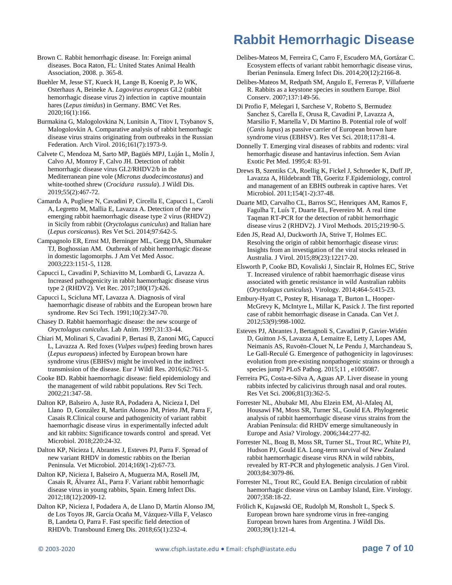Brown C. Rabbit hemorrhagic disease. In: Foreign animal diseases. Boca Raton, FL: United States Animal Health Association, 2008. p. 365-8.

Buehler M, Jesse ST, Kueck H, Lange B, Koenig P, Jo WK, Osterhaus A, Beineke A. *Lagovirus europeus* GI.2 (rabbit hemorrhagic disease virus 2) infection in captive mountain hares (*Lepus timidus*) in Germany. BMC Vet Res. 2020;16(1):166.

Burmakina G, Malogolovkina N, Lunitsin A, Titov I, Tsybanov S, Malogolovkin A. Comparative analysis of rabbit hemorrhagic disease virus strains originating from outbreaks in the Russian Federation. Arch Virol. 2016;161(7):1973-9.

Calvete C, Mendoza M, Sarto MP, Bagüés MPJ, Luján L, Molín J, Calvo AJ, Monroy F, Calvo JH. Detection of rabbit hemorrhagic disease virus GI.2/RHDV2/b in the Mediterranean pine vole (*Microtus duodecimcostatus*) and white-toothed shrew (*Crocidura russula*). J Wildl Dis. 2019;55(2):467-72.

Camarda A, Pugliese N, Cavadini P, Circella E, Capucci L, Caroli A, Legretto M, Mallia E, Lavazza A. Detection of the new emerging rabbit haemorrhagic disease type 2 virus (RHDV2) in Sicily from rabbit (*Oryctolagus cuniculus*) and Italian hare (*Lepus corsicanus*). Res Vet Sci. 2014;97:642-5.

Campagnolo ER, Ernst MJ, Berninger ML, Gregg DA, Shumaker TJ, Boghossian AM. Outbreak of rabbit hemorrhagic disease in domestic lagomorphs. J Am Vet Med Assoc. 2003;223:1151-5, 1128.

Capucci L, Cavadini P, Schiavitto M, Lombardi G, Lavazza A. Increased pathogenicity in rabbit haemorrhagic disease virus type 2 (RHDV2). Vet Rec. 2017;180(17):426.

Capucci L, Scicluna MT, Lavazza A. Diagnosis of viral haemorrhagic disease of rabbits and the European brown hare syndrome. Rev Sci Tech. 1991;10(2):347-70.

Chasey D. Rabbit haemorrhagic disease: the new scourge of *Oryctolagus cuniculus*. Lab Anim. 1997;31:33-44.

Chiari M, Molinari S, Cavadini P, Bertasi B, Zanoni MG, Capucci L, Lavazza A. Red foxes (*Vulpes vulpes*) feeding brown hares (*Lepus europaeu*s) infected by European brown hare syndrome virus (EBHSv) might be involved in the indirect transmission of the disease. Eur J Wildl Res. 2016;62:761-5.

Cooke BD. Rabbit haemorrhagic disease: field epidemiology and the management of wild rabbit populations. Rev Sci Tech. 2002;21:347-58.

Dalton KP, Balseiro A, Juste RA, Podadera A, Nicieza I, Del Llano D, González R, Martin Alonso JM, Prieto JM, Parra F, Casais R.Clinical course and pathogenicity of variant rabbit haemorrhagic disease virus in experimentally infected adult and kit rabbits: Significance towards control and spread. Vet Microbiol. 2018;220:24-32.

Dalton KP, Nicieza I, Abrantes J, Esteves PJ, Parra F. Spread of new variant RHDV in domestic rabbits on the Iberian Peninsula. Vet Microbiol. 2014;169(1-2):67-73.

Dalton KP, Nicieza I, Balseiro A, Muguerza MA, Rosell JM, Casais R, Álvarez ÁL, Parra F. Variant rabbit hemorrhagic disease virus in young rabbits, Spain. Emerg Infect Dis. 2012;18(12):2009-12.

Dalton KP, Nicieza I, Podadera A, de Llano D, Martin Alonso JM, de Los Toyos JR, García Ocaña M, Vázquez-Villa F, Velasco B, Landeta O, Parra F. Fast specific field detection of RHDVb. Transbound Emerg Dis. 2018;65(1):232-4.

# **Rabbit Hemorrhagic Disease**

Delibes-Mateos M, Ferreira C, Carro F, Escudero MA, Gortázar C. Ecosystem effects of variant rabbit hemorrhagic disease virus, Iberian Peninsula. Emerg Infect Dis. 2014;20(12):2166-8.

Delibes-Mateos M, Redpath SM, Angulo E, Ferreras P, Villafuerte R. Rabbits as a keystone species in southern Europe. Biol Conserv. 2007;137:149-56.

Di Profio F, Melegari I, Sarchese V, Robetto S, Bermudez Sanchez S, Carella E, Orusa R, Cavadini P, Lavazza A, Marsilio F, Martella V, Di Martino B. Potential role of wolf (*Canis lupus*) as passive carrier of European brown hare syndrome virus (EBHSV). Res Vet Sci. 2018;117:81-4.

Donnelly T. Emerging viral diseases of rabbits and rodents: viral hemorrhagic disease and hantavirus infection. Sem Avian Exotic Pet Med. 1995;4: 83-91.

Drews B, Szentiks CA, Roellig K, Fickel J, Schroeder K, Duff JP, Lavazza A, Hildebrandt TB, Goeritz F.Epidemiology, control and management of an EBHS outbreak in captive hares. Vet Microbiol. 2011;154(1-2):37-48.

Duarte MD, Carvalho CL, Barros SC, Henriques AM, Ramos F, Fagulha T, Luís T, Duarte EL, Fevereiro M. A real time Taqman RT-PCR for the detection of rabbit hemorrhagic disease virus 2 (RHDV2). J Virol Methods. 2015;219:90-5.

Eden JS, Read AJ, Duckworth JA, Strive T, Holmes EC. Resolving the origin of rabbit hemorrhagic disease virus: Insights from an investigation of the viral stocks released in Australia. J Virol. 2015;89(23):12217-20.

Elsworth P, Cooke BD, Kovaliski J, Sinclair R, Holmes EC, Strive T. Increased virulence of rabbit haemorrhagic disease virus associated with genetic resistance in wild Australian rabbits (*Oryctolagus cuniculus*). Virology. 2014;464-5:415-23.

Embury-Hyatt C, Postey R, Hisanaga T, Burton L, Hooper-McGrevy K, McIntyre L, Millar K, Pasick J. The first reported case of rabbit hemorrhagic disease in Canada. Can Vet J. 2012;53(9):998-1002.

Esteves PJ, Abrantes J, Bertagnoli S, Cavadini P, Gavier-Widén D, Guitton J-S, Lavazza A, Lemaitre E, Letty J, Lopes AM, Neimanis AS, Ruvoën-Clouet N, Le Pendu J, Marchandeau S, Le Gall-Reculé G. Emergence of pathogenicity in lagoviruses: evolution from pre-existing nonpathogenic strains or through a species jump? PLoS Pathog. 2015;11 , e1005087.

Ferreira PG, Costa-e-Silva A, Aguas AP. Liver disease in young rabbits infected by calicivirus through nasal and oral routes. Res Vet Sci. 2006;81(3):362-5.

Forrester NL, Abubakr MI, Abu Elzein EM, Al-Afaleq AI, Housawi FM, Moss SR, Turner SL, Gould EA. Phylogenetic analysis of rabbit haemorrhagic disease virus strains from the Arabian Peninsula: did RHDV emerge simultaneously in Europe and Asia? Virology. 2006;344:277-82.

Forrester NL, Boag B, Moss SR, Turner SL, Trout RC, White PJ, Hudson PJ, Gould EA. Long-term survival of New Zealand rabbit haemorrhagic disease virus RNA in wild rabbits, revealed by RT-PCR and phylogenetic analysis. J Gen Virol. 2003;84:3079-86.

Forrester NL, Trout RC, Gould EA. Benign circulation of rabbit haemorrhagic disease virus on Lambay Island, Eire. Virology. 2007;358:18-22.

Frölich K, Kujawski OE, Rudolph M, Ronsholt L, Speck S. European brown hare syndrome virus in free-ranging European brown hares from Argentina. J Wildl Dis. 2003;39(1):121-4.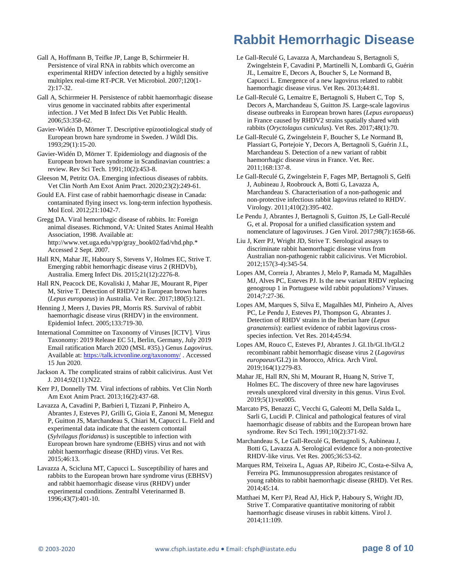Gall A, Hoffmann B, Teifke JP, Lange B, Schirrmeier H. Persistence of viral RNA in rabbits which overcome an experimental RHDV infection detected by a highly sensitive multiplex real-time RT-PCR. Vet Microbiol. 2007;120(1- 2):17-32.

Gall A, Schirrmeier H. Persistence of rabbit haemorrhagic disease virus genome in vaccinated rabbits after experimental infection. J Vet Med B Infect Dis Vet Public Health. 2006;53:358-62.

Gavier-Widén D, Mörner T. Descriptive epizootiological study of European brown hare syndrome in Sweden. J Wildl Dis. 1993;29(1):15-20.

Gavier-Widén D, Mörner T. Epidemiology and diagnosis of the European brown hare syndrome in Scandinavian countries: a review. Rev Sci Tech. 1991;10(2):453-8.

Gleeson M, Petritz OA. Emerging infectious diseases of rabbits. Vet Clin North Am Exot Anim Pract. 2020;23(2):249-61.

Gould EA. First case of rabbit haemorrhagic disease in Canada: contaminated flying insect vs. long-term infection hypothesis. Mol Ecol. 2012;21:1042-7.

Gregg DA. Viral hemorrhagic disease of rabbits. In: Foreign animal diseases. Richmond, VA: United States Animal Health Association, 1998. Available at: http://www.vet.uga.edu/vpp/gray\_book02/fad/vhd.php.\* Accessed 2 Sept. 2007.

Hall RN, Mahar JE, Haboury S, Stevens V, Holmes EC, Strive T. Emerging rabbit hemorrhagic disease virus 2 (RHDVb), Australia. Emerg Infect Dis. 2015;21(12):2276-8.

Hall RN, Peacock DE, Kovaliski J, Mahar JE, Mourant R, Piper M, Strive T. Detection of RHDV2 in European brown hares (*Lepus europaeus*) in Australia. Vet Rec. 2017;180(5):121.

Henning J, Meers J, Davies PR, Morris RS. Survival of rabbit haemorrhagic disease virus (RHDV) in the environment. Epidemiol Infect. 2005;133:719-30.

International Committee on Taxonomy of Viruses [ICTV]. Virus Taxonomy: 2019 Release EC 51, Berlin, Germany, July 2019 Email ratification March 2020 (MSL #35).) Genus *Lagovirus*. Available at: <https://talk.ictvonline.org/taxonomy/> . Accessed 15 Jun 2020.

Jackson A. The complicated strains of rabbit calicivirus. Aust Vet J. 2014;92(11):N22.

Kerr PJ, Donnelly TM. Viral infections of rabbits. Vet Clin North Am Exot Anim Pract. 2013;16(2):437-68.

Lavazza A, Cavadini P, Barbieri I, Tizzani P, Pinheiro A, Abrantes J, Esteves PJ, Grilli G, Gioia E, Zanoni M, Meneguz P, Guitton JS, Marchandeau S, Chiari M, Capucci L. Field and experimental data indicate that the eastern cottontail (*Sylvilagus floridanus*) is susceptible to infection with European brown hare syndrome (EBHS) virus and not with rabbit haemorrhagic disease (RHD) virus. Vet Res. 2015;46:13.

Lavazza A, Scicluna MT, Capucci L. Susceptibility of hares and rabbits to the European brown hare syndrome virus (EBHSV) and rabbit haemorrhagic disease virus (RHDV) under experimental conditions. Zentralbl Veterinarmed B. 1996;43(7):401-10.

# **Rabbit Hemorrhagic Disease**

- Le Gall-Reculé G, Lavazza A, Marchandeau S, Bertagnoli S, Zwingelstein F, Cavadini P, Martinelli N, Lombardi G, Guérin JL, Lemaitre E, Decors A, Boucher S, Le Normand B, Capucci L. Emergence of a new lagovirus related to rabbit haemorrhagic disease virus. Vet Res. 2013;44:81.
- Le Gall-Reculé G, Lemaitre E, Bertagnoli S, Hubert C, Top S, Decors A, Marchandeau S, Guitton JS. Large-scale lagovirus disease outbreaks in European brown hares (*Lepus europaeus*) in France caused by RHDV2 strains spatially shared with rabbits (*Oryctolagus cuniculu*s). Vet Res. 2017;48(1):70.

Le Gall-Reculé G, Zwingelstein F, Boucher S, Le Normand B, Plassiart G, Portejoie Y, Decors A, Bertagnoli S, Guérin J.L, Marchandeau S. Detection of a new variant of rabbit haemorrhagic disease virus in France. Vet. Rec. 2011;168:137-8.

Le Gall-Reculé G, Zwingelstein F, Fages MP, Bertagnoli S, Gelfi J, Aubineau J, Roobrouck A, Botti G, Lavazza A, Marchandeau S. Characterisation of a non-pathogenic and non-protective infectious rabbit lagovirus related to RHDV. Virology. 2011;410(2):395-402.

Le Pendu J, Abrantes J, Bertagnoli S, Guitton JS, Le Gall-Reculé G, et al. Proposal for a unified classification system and nomenclature of lagoviruses. J Gen Virol. 2017;98(7):1658-66.

Liu J, Kerr PJ, Wright JD, Strive T. Serological assays to discriminate rabbit haemorrhagic disease virus from Australian non-pathogenic rabbit calicivirus. Vet Microbiol. 2012;157(3-4):345-54.

Lopes AM, Correia J, Abrantes J, Melo P, Ramada M, Magalhães MJ, Alves PC, Esteves PJ. Is the new variant RHDV replacing genogroup 1 in Portuguese wild rabbit populations? Viruses. 2014;7:27-36.

Lopes AM, Marques S, Silva E, Magalhães MJ, Pinheiro A, Alves PC, Le Pendu J, Esteves PJ, Thompson G, Abrantes J. Detection of RHDV strains in the Iberian hare (*Lepus granatensis*): earliest evidence of rabbit lagovirus crossspecies infection. Vet Res. 2014;45:94.

Lopes AM, Rouco C, Esteves PJ, Abrantes J. GI.1b/GI.1b/GI.2 recombinant rabbit hemorrhagic disease virus 2 (*Lagovirus europaeus*/GI.2) in Morocco, Africa. Arch Virol. 2019;164(1):279-83.

Mahar JE, Hall RN, Shi M, Mourant R, Huang N, Strive T, Holmes EC. The discovery of three new hare lagoviruses reveals unexplored viral diversity in this genus. Virus Evol. 2019;5(1):vez005.

Marcato PS, Benazzi C, Vecchi G, Galeotti M, Della Salda L, Sarli G, Lucidi P. Clinical and pathological features of viral haemorrhagic disease of rabbits and the European brown hare syndrome. Rev Sci Tech. 1991;10(2):371-92.

Marchandeau S, Le Gall-Reculé G, Bertagnoli S, Aubineau J, Botti G, Lavazza A. Serological evidence for a non-protective RHDV-like virus. Vet Res. 2005;36:53-62.

Marques RM, Teixeira L, Aguas AP, Ribeiro JC, Costa-e-Silva A, Ferreira PG. Immunosuppression abrogates resistance of young rabbits to rabbit haemorrhagic disease (RHD). Vet Res. 2014;45:14.

Matthaei M, Kerr PJ, Read AJ, Hick P, Haboury S, Wright JD, Strive T. Comparative quantitative monitoring of rabbit haemorrhagic disease viruses in rabbit kittens. Virol J. 2014;11:109.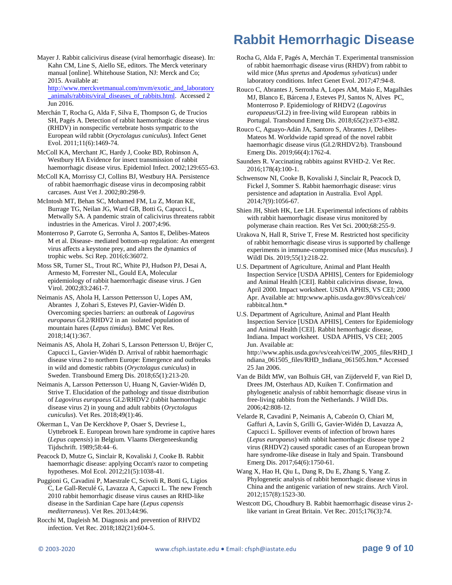Mayer J. Rabbit calicivirus disease (viral hemorrhagic disease). In: Kahn CM, Line S, Aiello SE, editors. The Merck veterinary manual [online]. Whitehouse Station, NJ: Merck and Co; 2015. Available at: [http://www.merckvetmanual.com/mvm/exotic\\_and\\_laboratory](http://www.merckvetmanual.com/mvm/exotic_and_laboratory_animals/rabbits/viral_diseases_of_rabbits.html)

[\\_animals/rabbits/viral\\_diseases\\_of\\_rabbits.html.](http://www.merckvetmanual.com/mvm/exotic_and_laboratory_animals/rabbits/viral_diseases_of_rabbits.html) Accessed 2 Jun 2016.

- Merchán T, Rocha G, Alda F, Silva E, Thompson G, de Trucios SH, Pagés A. Detection of rabbit haemorrhagic disease virus (RHDV) in nonspecific vertebrate hosts sympatric to the European wild rabbit (*Oryctolagus cuniculus*). Infect Genet Evol. 2011;11(6):1469-74.
- McColl KA, Merchant JC, Hardy J, Cooke BD, Robinson A, Westbury HA Evidence for insect transmission of rabbit haemorrhagic disease virus. Epidemiol Infect. 2002;129:655-63.

McColl KA, Morrissy CJ, Collins BJ, Westbury HA. Persistence of rabbit haemorrhagic disease virus in decomposing rabbit carcases. Aust Vet J. 2002;80:298-9.

McIntosh MT, Behan SC, Mohamed FM, Lu Z, Moran KE, Burrage TG, Neilan JG, Ward GB, Botti G, Capucci L, Metwally SA. A pandemic strain of calicivirus threatens rabbit industries in the Americas. Virol J. 2007;4:96.

Monterroso P, Garrote G, Serronha A, Santos E, Delibes-Mateos M et al. Disease- mediated bottom-up regulation: An emergent virus affects a keystone prey, and alters the dynamics of trophic webs. Sci Rep. 2016;6:36072.

Moss SR, Turner SL, Trout RC, White PJ, Hudson PJ, Desai A, Armesto M, Forrester NL, Gould EA, Molecular epidemiology of rabbit haemorrhagic disease virus. J Gen Virol. 2002;83:2461-7.

Neimanis AS, Ahola H, Larsson Pettersson U, Lopes AM, Abrantes J, Zohari S, Esteves PJ, Gavier-Widén D. Overcoming species barriers: an outbreak of *Lagovirus europaeus* GI.2/RHDV2 in an isolated population of mountain hares (*Lepus timidus*). BMC Vet Res. 2018;14(1):367.

Neimanis AS, Ahola H, Zohari S, Larsson Pettersson U, Bröjer C, Capucci L, Gavier-Widén D. Arrival of rabbit haemorrhagic disease virus 2 to northern Europe: Emergence and outbreaks in wild and domestic rabbits (*Oryctolagus cuniculus*) in Sweden. Transbound Emerg Dis. 2018;65(1):213-20.

Neimanis A, Larsson Pettersson U, Huang N, Gavier-Widén D, Strive T. Elucidation of the pathology and tissue distribution of *Lagovirus europaeus* GI.2/RHDV2 (rabbit haemorrhagic disease virus 2) in young and adult rabbits (*Oryctolagus cuniculus*). Vet Res. 2018;49(1):46.

Okerman L, Van De Kerckhove P, Osaer S, Devriese L, Uyttebroek E. European brown hare syndrome in captive hares (*Lepus capensis*) in Belgium. Vlaams Diergeneeskundig Tijdschrift. 1989;58:44–6.

Peacock D, Mutze G, Sinclair R, Kovaliski J, Cooke B. Rabbit haemorrhagic disease: applying Occam's razor to competing hypotheses. Mol Ecol. 2012;21(5):1038-41.

Puggioni G, Cavadini P, Maestrale C, Scivoli R, Botti G, Ligios C, Le Gall-Reculé G, Lavazza A, Capucci L. The new French 2010 rabbit hemorrhagic disease virus causes an RHD-like disease in the Sardinian Cape hare (*Lepus capensis mediterraneus*). Vet Res. 2013;44:96.

Rocchi M, Dagleish M. Diagnosis and prevention of RHVD2 infection. Vet Rec. 2018;182(21):604-5.

# **Rabbit Hemorrhagic Disease**

Rocha G, Alda F, Pagés A, Merchán T. Experimental transmission of rabbit haemorrhagic disease virus (RHDV) from rabbit to wild mice (*Mus spretus* and *Apodemus sylvaticus*) under laboratory conditions. Infect Genet Evol. 2017;47:94-8.

Rouco C, Abrantes J, Serronha A, Lopes AM, Maio E, Magalhães MJ, Blanco E, Bárcena J, Esteves PJ, Santos N, Alves PC, Monterroso P. Epidemiology of RHDV2 (*Lagovirus europaeus*/GI.2) in free-living wild European rabbits in Portugal. Transbound Emerg Dis. 2018;65(2):e373-e382.

Rouco C, Aguayo-Adán JA, Santoro S, Abrantes J, Delibes-Mateos M. Worldwide rapid spread of the novel rabbit haemorrhagic disease virus (GI.2/RHDV2/b). Transbound Emerg Dis. 2019;66(4):1762-4.

Saunders R. Vaccinating rabbits against RVHD-2. Vet Rec. 2016;178(4):100-1.

Schwensow NI, Cooke B, Kovaliski J, Sinclair R, Peacock D, Fickel J, Sommer S. Rabbit haemorrhagic disease: virus persistence and adaptation in Australia. Evol Appl. 2014;7(9):1056-67.

Shien JH, Shieh HK, Lee LH. Experimental infections of rabbits with rabbit haemorrhagic disease virus monitored by polymerase chain reaction. Res Vet Sci. 2000;68:255-9.

Urakova N, Hall R, Strive T, Frese M. Restricted host specificity of rabbit hemorrhagic disease virus is supported by challenge experiments in immune-compromised mice (*Mus musculus*). J Wildl Dis. 2019;55(1):218-22.

U.S. Department of Agriculture, Animal and Plant Health Inspection Service [USDA APHIS], Centers for Epidemiology and Animal Health [CEI]. Rabbit calicivirus disease, Iowa, April 2000. Impact worksheet. USDA APHIS, VS CEI; 2000 Apr. Available at: http:www.aphis.usda.gov:80/vs/ceah/cei/ rabbitcal.htm.\*

U.S. Department of Agriculture, Animal and Plant Health Inspection Service [USDA APHIS], Centers for Epidemiology and Animal Health [CEI]. Rabbit hemorrhagic disease, Indiana. Impact worksheet. USDA APHIS, VS CEI; 2005 Jun. Available at: http://www.aphis.usda.gov/vs/ceah/cei/IW\_2005\_files/RHD\_I ndiana\_061505\_files/RHD\_Indiana\_061505.htm.\* Accessed 25 Jan 2006.

Van de Bildt MW, van Bolhuis GH, van Zijderveld F, van Riel D, Drees JM, Osterhaus AD, Kuiken T. Confirmation and phylogenetic analysis of rabbit hemorrhagic disease virus in free-living rabbits from the Netherlands. J Wildl Dis. 2006;42:808-12.

Velarde R, Cavadini P, Neimanis A, Cabezón O, Chiari M, Gaffuri A, Lavín S, Grilli G, Gavier-Widén D, Lavazza A, Capucci L. Spillover events of infection of brown hares (*Lepus europaeus*) with rabbit haemorrhagic disease type 2 virus (RHDV2) caused sporadic cases of an European brown hare syndrome-like disease in Italy and Spain. Transbound Emerg Dis. 2017;64(6):1750-61.

Wang X, Hao H, Qiu L, Dang R, Du E, Zhang S, Yang Z. Phylogenetic analysis of rabbit hemorrhagic disease virus in China and the antigenic variation of new strains. Arch Virol. 2012;157(8):1523-30.

Westcott DG, Choudhury B. Rabbit haemorrhagic disease virus 2 like variant in Great Britain. Vet Rec. 2015;176(3):74.